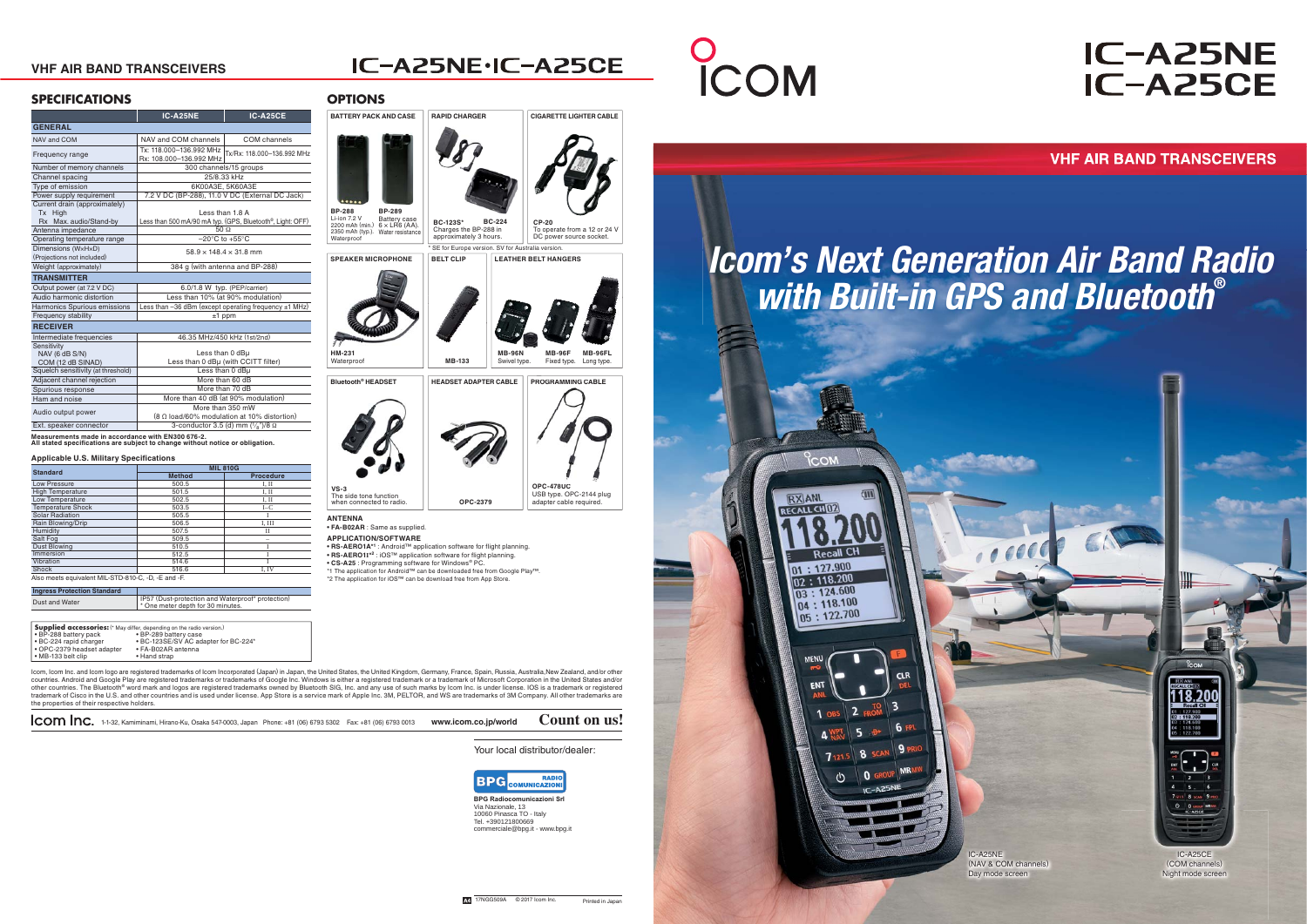Your local distributor/dealer:



### **IC-A25NE IC-A25CE**

**VHF AIR BAND TRANSCEIVERS** 

1-1-32, Kamiminami, Hirano-Ku, Osaka 547-0003, Japan Phone: +81 (06) 6793 5302 Fax: +81 (06) 6793 0013 **www.icom.co.jp/world Count on us!**

#### **VHF AIR BAND TRANSCEIVERS**

### IC-A25NE·IC-A25CE

Icom, Icom Inc. and Icom logo are registered trademarks of Icom Incorporated (Japan) in Japan, the United States, the United Kingdom, Germany, France, Spain, Russia, Australia,New Zealand, and/or other countries. Android and Google Play are registered trademarks or trademarks of Google Inc. Windows is either a registered trademark or a trademark of Microsoft Corporation in the United States and/or<br>other countries. The B trademark of Cisco in the U.S. and other countries and is used under license. App Store is a service mark of Apple Inc. 3M, PELTOR, and WS are trademarks of 3M Company. All other trademarks are the properties of their respective holders.

#### **SPECIFICATIONS**

**Measurements made in accordance with EN300 676-2. All stated specifications are subject to change without notice or obligation.** 

#### **Applicable U.S. Military Specifications**

**BPG Radioc** Via Nazionale, 13 10060 Pinasca TO - ItalyTel. +390121800669 commerciale@bpg.it - www.bpg.it





**COM** 

| <b>Standard</b>                                     | <b>MIL 810G</b> |                  |  |
|-----------------------------------------------------|-----------------|------------------|--|
|                                                     | <b>Method</b>   | <b>Procedure</b> |  |
| Low Pressure                                        | 500.5           | I, II            |  |
| <b>High Temperature</b>                             | 501.5           | I. II            |  |
| Low Temperature                                     | 502.5           | I, II            |  |
| <b>Temperature Shock</b>                            | 503.5           | $I-C$            |  |
| Solar Radiation                                     | 505.5           |                  |  |
| Rain Blowing/Drip                                   | 506.5           | I. III           |  |
| Humidity                                            | 507.5           | Н                |  |
| Salt Fog                                            | 509.5           |                  |  |
| <b>Dust Blowing</b>                                 | 510.5           |                  |  |
| Immersion                                           | 512.5           |                  |  |
| Vibration                                           | 514.6           |                  |  |
| Shock                                               | 516.6           | I. IV            |  |
| Also meets equivalent MIL-STD-810-C, -D, -E and -F. |                 |                  |  |

| IP57 (Dust-protection and Waterproof* protection)<br>Dust and Water<br><sup>1</sup> * One meter depth for 30 minutes. | <b>Ingress Protection Standard</b> |  |
|-----------------------------------------------------------------------------------------------------------------------|------------------------------------|--|
|                                                                                                                       |                                    |  |

|                                                                                          | IC-A25NE                                                                                   | IC-A25CE                   |  |
|------------------------------------------------------------------------------------------|--------------------------------------------------------------------------------------------|----------------------------|--|
| <b>GENERAL</b>                                                                           |                                                                                            |                            |  |
| NAV and COM                                                                              | NAV and COM channels                                                                       | COM channels               |  |
| Frequency range                                                                          | Tx: 118.000-136.992 MHz<br>Rx: 108.000-136.992 MHz                                         | Tx/Rx: 118.000-136.992 MHz |  |
| Number of memory channels                                                                | 300 channels/15 groups                                                                     |                            |  |
| Channel spacing                                                                          | 25/8.33 kHz                                                                                |                            |  |
| Type of emission                                                                         | 6K00A3E, 5K60A3E                                                                           |                            |  |
| Power supply requirement                                                                 | 7.2 V DC (BP-288), 11.0 V DC (External DC Jack)                                            |                            |  |
| Current drain (approximately)<br>Tx High<br>Rx Max. audio/Stand-by<br>Antenna impedance  | Less than 1.8 A<br>Less than 500 mA/90 mA typ. (GPS, Bluetooth®, Light: OFF)<br>$50\Omega$ |                            |  |
| Operating temperature range                                                              | $-20^{\circ}$ C to $+55^{\circ}$ C                                                         |                            |  |
| Dimensions (WxHxD)<br>(Projections not included)                                         | $58.9 \times 148.4 \times 31.8$ mm                                                         |                            |  |
| Weight (approximately)                                                                   | 384 g (with antenna and BP-288)                                                            |                            |  |
| <b>TRANSMITTER</b>                                                                       |                                                                                            |                            |  |
| Output power (at 7.2 V DC)                                                               | 6.0/1.8 W typ. (PEP/carrier)                                                               |                            |  |
| Audio harmonic distortion                                                                | Less than 10% (at 90% modulation)                                                          |                            |  |
| Harmonics Spurious emissions                                                             | Less than -36 dBm (except operating frequency ±1 MHz)                                      |                            |  |
| Frequency stability                                                                      | $±1$ ppm                                                                                   |                            |  |
| <b>RECEIVER</b>                                                                          |                                                                                            |                            |  |
| Intermediate frequencies                                                                 | 46.35 MHz/450 kHz (1st/2nd)                                                                |                            |  |
| Sensitivity<br>NAV (6 dB S/N)<br>COM (12 dB SINAD)<br>Squelch sensitivity (at threshold) | Less than 0 dBu<br>Less than 0 dBµ (with CCITT filter)                                     |                            |  |
| Adjacent channel rejection                                                               | Less than 0 dBu                                                                            |                            |  |
|                                                                                          | More than 60 dB<br>More than 70 dB                                                         |                            |  |
| Spurious response<br>Ham and noise                                                       |                                                                                            |                            |  |
|                                                                                          | More than 40 dB (at 90% modulation)<br>More than 350 mW                                    |                            |  |
| Audio output power                                                                       | (8 Ω load/60% modulation at 10% distortion)                                                |                            |  |
| Ext. speaker connector                                                                   | 3-conductor 3.5 (d) mm $(\frac{1}{8})$ /8 $\Omega$                                         |                            |  |
| Measurements made in accordance with EN300 676-2.                                        |                                                                                            |                            |  |

**RAPID CHARGER**

# COM

**CIGARETTE LIGHTER CABLE**

#### **BATTERY PACK AND CASEOPTIONS**

**• FA-B02AR** : Same as supplied.

**APPLICATION/SOFTWARE**

**• RS-AERO1A\*1** : Android™ application software for flight planning.

**ANTENNAVS-3**The side tone function when connected to radio.

**• RS-AERO1I\*2** : iOS™ application software for flight planning. **• CS-A25** : Programming software for Windows® PC.



\*1 The application for Android™ can be downloaded free from Google Play™. \*2 The application for iOS™ can be download free from App Store.

USB type. OPC-2144 plug adapter cable required.

**OPC-2379**

**OPC-478UC8UC**

| <b>Supplied accessories:</b> (* May differ, depending on the radio version.) |                                      |
|------------------------------------------------------------------------------|--------------------------------------|
| • BP-288 battery pack                                                        | • BP-289 battery case                |
| · BC-224 rapid charger                                                       | • BC-123SE/SV AC adapter for BC-224* |
| • OPC-2379 headset adapter                                                   | • FA-B02AR antenna                   |
| • MB-133 belt clip                                                           | • Hand strap                         |

IC-A25NE (NAV & COM channels) Day mode screen

IC-A25CE (COM channels) Night mode screen

18.200

## *Icom's Next Generation Air Band Radio with Built-in GPS and Bluetooth***®**